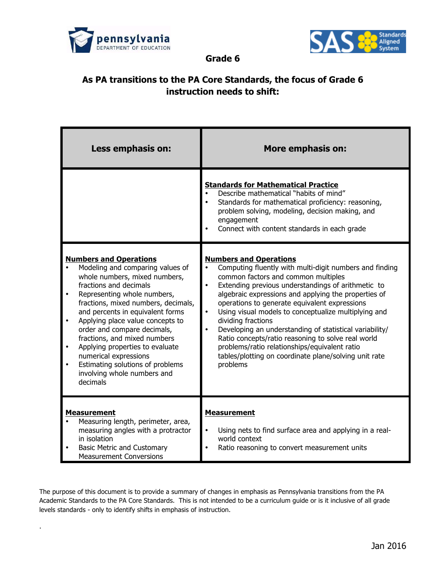

.



**Grade 6**

## **As PA transitions to the PA Core Standards, the focus of Grade 6 instruction needs to shift:**

| Less emphasis on:                                                                                                                                                                                                                                                                                                                                                                                                                                                                    | <b>More emphasis on:</b>                                                                                                                                                                                                                                                                                                                                                                                                                                                                                                                                                                                                         |
|--------------------------------------------------------------------------------------------------------------------------------------------------------------------------------------------------------------------------------------------------------------------------------------------------------------------------------------------------------------------------------------------------------------------------------------------------------------------------------------|----------------------------------------------------------------------------------------------------------------------------------------------------------------------------------------------------------------------------------------------------------------------------------------------------------------------------------------------------------------------------------------------------------------------------------------------------------------------------------------------------------------------------------------------------------------------------------------------------------------------------------|
|                                                                                                                                                                                                                                                                                                                                                                                                                                                                                      | <b>Standards for Mathematical Practice</b><br>Describe mathematical "habits of mind"<br>Standards for mathematical proficiency: reasoning,<br>problem solving, modeling, decision making, and<br>engagement<br>Connect with content standards in each grade                                                                                                                                                                                                                                                                                                                                                                      |
| <b>Numbers and Operations</b><br>Modeling and comparing values of<br>whole numbers, mixed numbers,<br>fractions and decimals<br>Representing whole numbers,<br>fractions, mixed numbers, decimals,<br>and percents in equivalent forms<br>Applying place value concepts to<br>order and compare decimals,<br>fractions, and mixed numbers<br>Applying properties to evaluate<br>numerical expressions<br>Estimating solutions of problems<br>involving whole numbers and<br>decimals | <b>Numbers and Operations</b><br>Computing fluently with multi-digit numbers and finding<br>common factors and common multiples<br>Extending previous understandings of arithmetic to<br>algebraic expressions and applying the properties of<br>operations to generate equivalent expressions<br>Using visual models to conceptualize multiplying and<br>$\bullet$<br>dividing fractions<br>Developing an understanding of statistical variability/<br>Ratio concepts/ratio reasoning to solve real world<br>problems/ratio relationships/equivalent ratio<br>tables/plotting on coordinate plane/solving unit rate<br>problems |
| <b>Measurement</b><br>Measuring length, perimeter, area,<br>measuring angles with a protractor<br>in isolation<br><b>Basic Metric and Customary</b><br><b>Measurement Conversions</b>                                                                                                                                                                                                                                                                                                | <b>Measurement</b><br>Using nets to find surface area and applying in a real-<br>world context<br>Ratio reasoning to convert measurement units                                                                                                                                                                                                                                                                                                                                                                                                                                                                                   |

The purpose of this document is to provide a summary of changes in emphasis as Pennsylvania transitions from the PA Academic Standards to the PA Core Standards. This is not intended to be a curriculum guide or is it inclusive of all grade levels standards - only to identify shifts in emphasis of instruction.